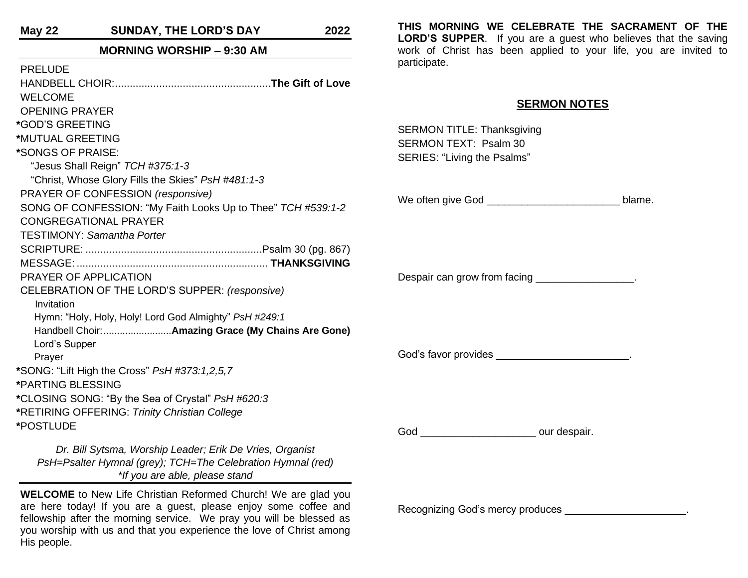**May 22 SUNDAY, THE LORD'S DAY 2022**

#### **MORNING WORSHIP – 9:30 AM**

| <b>PRELUDE</b>                                                     |
|--------------------------------------------------------------------|
|                                                                    |
| <b>WELCOME</b>                                                     |
| <b>OPENING PRAYER</b>                                              |
| *GOD'S GREETING                                                    |
| *MUTUAL GREETING                                                   |
| *SONGS OF PRAISE:                                                  |
| "Jesus Shall Reign" TCH #375:1-3                                   |
| "Christ, Whose Glory Fills the Skies" PsH #481:1-3                 |
| PRAYER OF CONFESSION (responsive)                                  |
| SONG OF CONFESSION: "My Faith Looks Up to Thee" TCH #539:1-2       |
| <b>CONGREGATIONAL PRAYER</b>                                       |
| <b>TESTIMONY: Samantha Porter</b>                                  |
|                                                                    |
|                                                                    |
| PRAYER OF APPLICATION                                              |
| CELEBRATION OF THE LORD'S SUPPER: (responsive)                     |
| Invitation                                                         |
| Hymn: "Holy, Holy, Holy! Lord God Almighty" PsH #249:1             |
|                                                                    |
| Lord's Supper                                                      |
| Prayer                                                             |
| *SONG: "Lift High the Cross" PsH #373:1,2,5,7<br>*PARTING BLESSING |
| *CLOSING SONG: "By the Sea of Crystal" PsH #620:3                  |
| *RETIRING OFFERING: Trinity Christian College                      |
| *POSTLUDE                                                          |
|                                                                    |
| Dr. Bill Sytsma, Worship Leader; Erik De Vries, Organist           |
| PsH=Psalter Hymnal (grey); TCH=The Celebration Hymnal (red)        |
|                                                                    |

**THIS MORNING WE CELEBRATE THE SACRAMENT OF THE LORD'S SUPPER**. If you are a guest who believes that the saving work of Christ has been applied to your life, you are invited to participate.

## **SERMON NOTES**

SERMON TITLE: Thanksgiving SERMON TEXT: Psalm 30 SERIES: "Living the Psalms"

We often give God \_\_\_\_\_\_\_\_\_\_\_\_\_\_\_\_\_\_\_\_\_\_\_ blame.

Despair can grow from facing \_\_\_\_\_\_\_\_\_\_\_\_\_\_\_\_\_.

God's favor provides **EXALL** 

God **b** cur despair.

*\*If you are able, please stand*

**WELCOME** to New Life Christian Reformed Church! We are glad you are here today! If you are a guest, please enjoy some coffee and fellowship after the morning service. We pray you will be blessed as you worship with us and that you experience the love of Christ among His people.

Recognizing God's mercy produces \_\_\_\_\_\_\_\_\_\_\_\_\_\_\_\_\_\_\_\_\_.